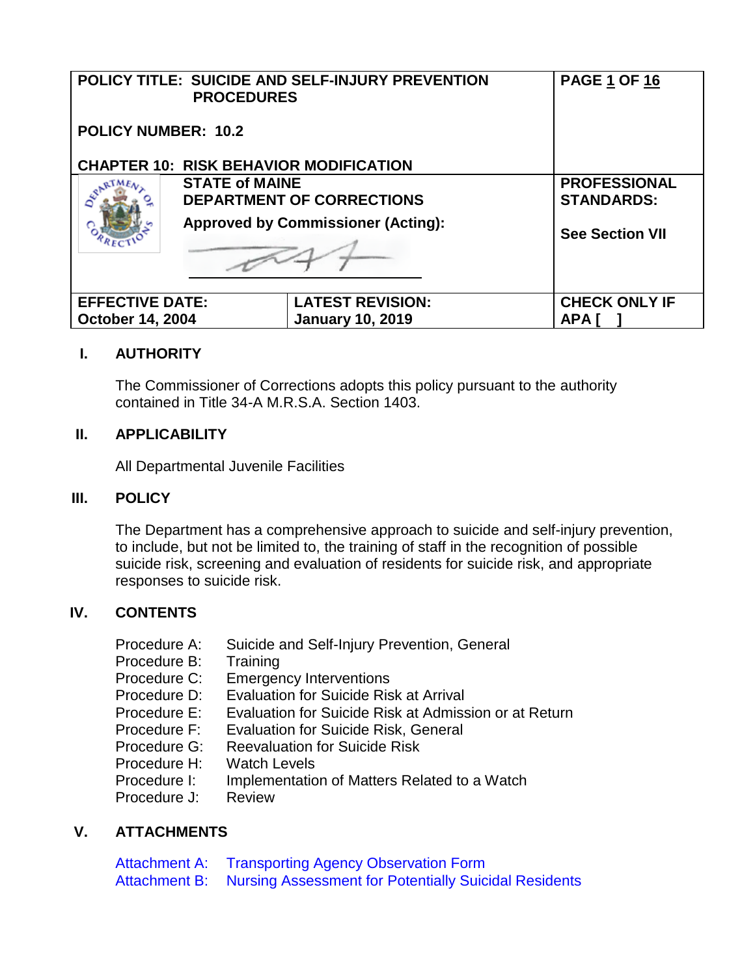|                            | <b>PROCEDURES</b>                         | POLICY TITLE: SUICIDE AND SELF-INJURY PREVENTION | <b>PAGE 1 OF 16</b>    |
|----------------------------|-------------------------------------------|--------------------------------------------------|------------------------|
| <b>POLICY NUMBER: 10.2</b> |                                           |                                                  |                        |
|                            |                                           | <b>CHAPTER 10: RISK BEHAVIOR MODIFICATION</b>    |                        |
|                            | <b>STATE of MAINE</b>                     |                                                  | <b>PROFESSIONAL</b>    |
|                            | <b>DEPARTMENT OF CORRECTIONS</b>          |                                                  | <b>STANDARDS:</b>      |
|                            | <b>Approved by Commissioner (Acting):</b> |                                                  | <b>See Section VII</b> |
|                            |                                           |                                                  |                        |
| <b>EFFECTIVE DATE:</b>     |                                           | <b>LATEST REVISION:</b>                          | <b>CHECK ONLY IF</b>   |
| <b>October 14, 2004</b>    |                                           | <b>January 10, 2019</b>                          | <b>APA</b>             |

# **I. AUTHORITY**

The Commissioner of Corrections adopts this policy pursuant to the authority contained in Title 34-A M.R.S.A. Section 1403.

### **II. APPLICABILITY**

All Departmental Juvenile Facilities

### **III. POLICY**

The Department has a comprehensive approach to suicide and self-injury prevention, to include, but not be limited to, the training of staff in the recognition of possible suicide risk, screening and evaluation of residents for suicide risk, and appropriate responses to suicide risk.

## **IV. CONTENTS**

| Suicide and Self-Injury Prevention, General           |
|-------------------------------------------------------|
| Training                                              |
| <b>Emergency Interventions</b>                        |
| <b>Evaluation for Suicide Risk at Arrival</b>         |
| Evaluation for Suicide Risk at Admission or at Return |
| <b>Evaluation for Suicide Risk, General</b>           |
| <b>Reevaluation for Suicide Risk</b>                  |
| <b>Watch Levels</b>                                   |
| Implementation of Matters Related to a Watch          |
| <b>Review</b>                                         |
|                                                       |

### **V. ATTACHMENTS**

Attachment A: [Transporting Agency Observation Form](https://powerdms.com/link/IDS/document/?id=325738) Attachment B: [Nursing Assessment for Potentially Suicidal Residents](https://powerdms.com/link/IDS/document/?id=325739)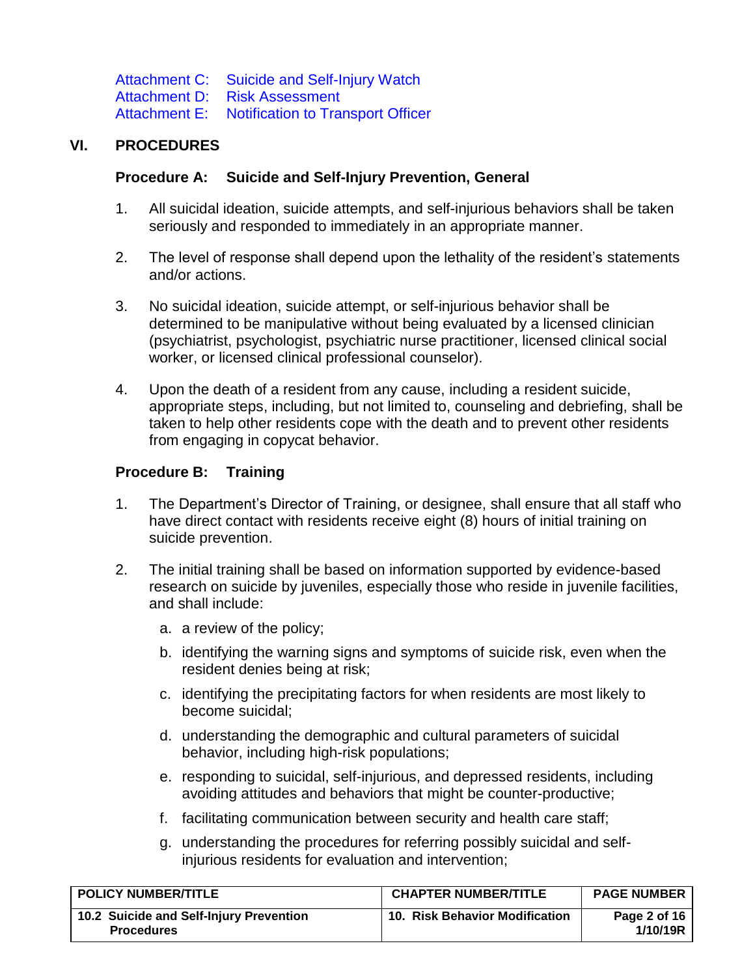Attachment C: [Suicide and Self-Injury Watch](https://powerdms.com/link/IDS/document/?id=325741) Attachment D: [Risk Assessment](https://powerdms.com/link/IDS/document/?id=1202230) Attachment E: [Notification to Transport Officer](https://powerdms.com/link/IDS/document/?id=325742)

## <span id="page-1-0"></span>**VI. PROCEDURES**

#### **Procedure A: Suicide and Self-Injury Prevention, General**

- 1. All suicidal ideation, suicide attempts, and self-injurious behaviors shall be taken seriously and responded to immediately in an appropriate manner.
- 2. The level of response shall depend upon the lethality of the resident's statements and/or actions.
- 3. No suicidal ideation, suicide attempt, or self-injurious behavior shall be determined to be manipulative without being evaluated by a licensed clinician (psychiatrist, psychologist, psychiatric nurse practitioner, licensed clinical social worker, or licensed clinical professional counselor).
- <span id="page-1-2"></span>4. Upon the death of a resident from any cause, including a resident suicide, appropriate steps, including, but not limited to, counseling and debriefing, shall be taken to help other residents cope with the death and to prevent other residents from engaging in copycat behavior.

#### <span id="page-1-1"></span>**Procedure B: Training**

- 1. The Department's Director of Training, or designee, shall ensure that all staff who have direct contact with residents receive eight (8) hours of initial training on suicide prevention.
- <span id="page-1-3"></span>2. The initial training shall be based on information supported by evidence-based research on suicide by juveniles, especially those who reside in juvenile facilities, and shall include:
	- a. a review of the policy;
	- b. identifying the warning signs and symptoms of suicide risk, even when the resident denies being at risk;
	- c. identifying the precipitating factors for when residents are most likely to become suicidal;
	- d. understanding the demographic and cultural parameters of suicidal behavior, including high-risk populations;
	- e. responding to suicidal, self-injurious, and depressed residents, including avoiding attitudes and behaviors that might be counter-productive;
	- f. facilitating communication between security and health care staff;
	- g. understanding the procedures for referring possibly suicidal and selfinjurious residents for evaluation and intervention;

<span id="page-1-7"></span><span id="page-1-6"></span><span id="page-1-5"></span><span id="page-1-4"></span>

| <b>POLICY NUMBER/TITLE</b>                                   | <b>CHAPTER NUMBER/TITLE</b>    | <b>PAGE NUMBER</b>       |
|--------------------------------------------------------------|--------------------------------|--------------------------|
| 10.2 Suicide and Self-Injury Prevention<br><b>Procedures</b> | 10. Risk Behavior Modification | Page 2 of 16<br>1/10/19R |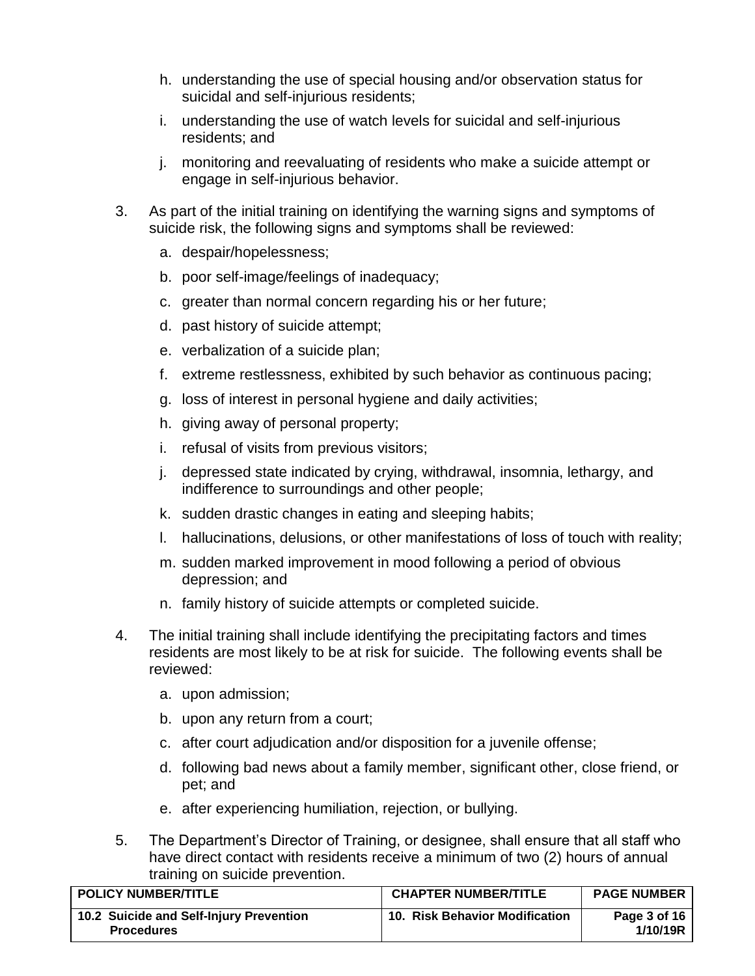- <span id="page-2-0"></span>h. understanding the use of special housing and/or observation status for suicidal and self-injurious residents:
- i. understanding the use of watch levels for suicidal and self-injurious residents; and
- j. monitoring and reevaluating of residents who make a suicide attempt or engage in self-injurious behavior.
- <span id="page-2-1"></span>3. As part of the initial training on identifying the warning signs and symptoms of suicide risk, the following signs and symptoms shall be reviewed:
	- a. despair/hopelessness;
	- b. poor self-image/feelings of inadequacy;
	- c. greater than normal concern regarding his or her future;
	- d. past history of suicide attempt;
	- e. verbalization of a suicide plan;
	- f. extreme restlessness, exhibited by such behavior as continuous pacing;
	- g. loss of interest in personal hygiene and daily activities;
	- h. giving away of personal property;
	- i. refusal of visits from previous visitors;
	- j. depressed state indicated by crying, withdrawal, insomnia, lethargy, and indifference to surroundings and other people;
	- k. sudden drastic changes in eating and sleeping habits;
	- l. hallucinations, delusions, or other manifestations of loss of touch with reality;
	- m. sudden marked improvement in mood following a period of obvious depression; and
	- n. family history of suicide attempts or completed suicide.
- 4. The initial training shall include identifying the precipitating factors and times residents are most likely to be at risk for suicide. The following events shall be reviewed:
	- a. upon admission;
	- b. upon any return from a court;
	- c. after court adjudication and/or disposition for a juvenile offense;
	- d. following bad news about a family member, significant other, close friend, or pet; and
	- e. after experiencing humiliation, rejection, or bullying.
- 5. The Department's Director of Training, or designee, shall ensure that all staff who have direct contact with residents receive a minimum of two (2) hours of annual training on suicide prevention.

| <b>POLICY NUMBER/TITLE</b>                                   | <b>CHAPTER NUMBER/TITLE</b>    | <b>PAGE NUMBER</b>       |
|--------------------------------------------------------------|--------------------------------|--------------------------|
| 10.2 Suicide and Self-Injury Prevention<br><b>Procedures</b> | 10. Risk Behavior Modification | Page 3 of 16<br>1/10/19R |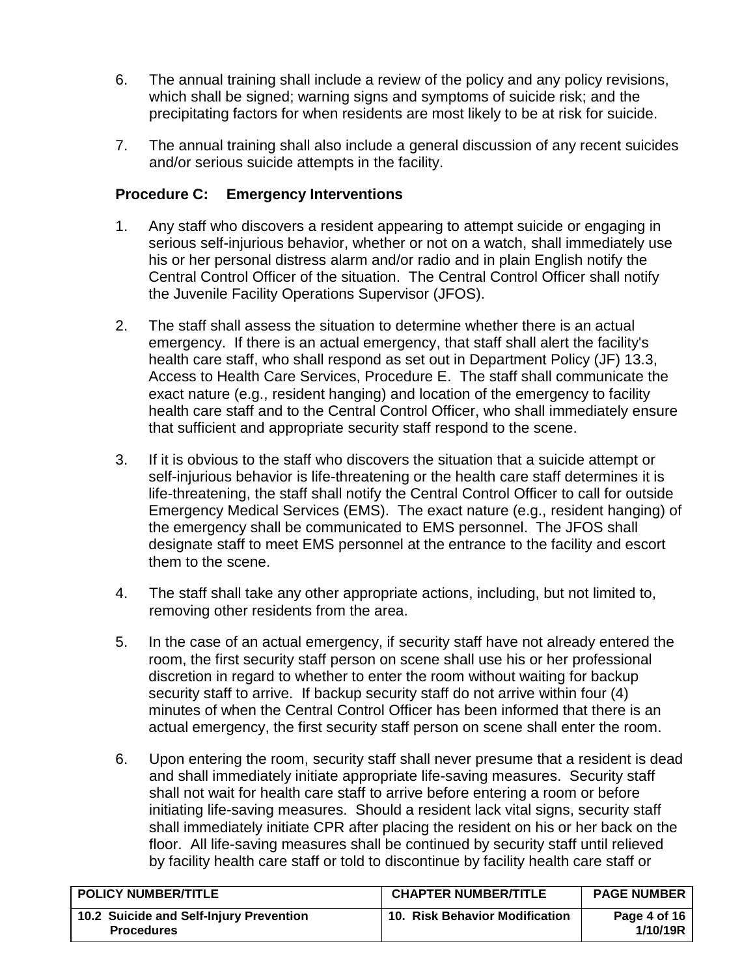- <span id="page-3-1"></span>6. The annual training shall include a review of the policy and any policy revisions, which shall be signed; warning signs and symptoms of suicide risk; and the precipitating factors for when residents are most likely to be at risk for suicide.
- 7. The annual training shall also include a general discussion of any recent suicides and/or serious suicide attempts in the facility.

## <span id="page-3-2"></span><span id="page-3-0"></span>**Procedure C: Emergency Interventions**

- 1. Any staff who discovers a resident appearing to attempt suicide or engaging in serious self-injurious behavior, whether or not on a watch, shall immediately use his or her personal distress alarm and/or radio and in plain English notify the Central Control Officer of the situation. The Central Control Officer shall notify the Juvenile Facility Operations Supervisor (JFOS).
- 2. The staff shall assess the situation to determine whether there is an actual emergency. If there is an actual emergency, that staff shall alert the facility's health care staff, who shall respond as set out in Department Policy (JF) 13.3, Access to Health Care Services, Procedure E. The staff shall communicate the exact nature (e.g., resident hanging) and location of the emergency to facility health care staff and to the Central Control Officer, who shall immediately ensure that sufficient and appropriate security staff respond to the scene.
- 3. If it is obvious to the staff who discovers the situation that a suicide attempt or self-injurious behavior is life-threatening or the health care staff determines it is life-threatening, the staff shall notify the Central Control Officer to call for outside Emergency Medical Services (EMS). The exact nature (e.g., resident hanging) of the emergency shall be communicated to EMS personnel. The JFOS shall designate staff to meet EMS personnel at the entrance to the facility and escort them to the scene.
- 4. The staff shall take any other appropriate actions, including, but not limited to, removing other residents from the area.
- 5. In the case of an actual emergency, if security staff have not already entered the room, the first security staff person on scene shall use his or her professional discretion in regard to whether to enter the room without waiting for backup security staff to arrive. If backup security staff do not arrive within four (4) minutes of when the Central Control Officer has been informed that there is an actual emergency, the first security staff person on scene shall enter the room.
- 6. Upon entering the room, security staff shall never presume that a resident is dead and shall immediately initiate appropriate life-saving measures. Security staff shall not wait for health care staff to arrive before entering a room or before initiating life-saving measures. Should a resident lack vital signs, security staff shall immediately initiate CPR after placing the resident on his or her back on the floor. All life-saving measures shall be continued by security staff until relieved by facility health care staff or told to discontinue by facility health care staff or

| <b>POLICY NUMBER/TITLE</b>                                   | <b>CHAPTER NUMBER/TITLE</b>    | <b>PAGE NUMBER</b>       |
|--------------------------------------------------------------|--------------------------------|--------------------------|
| 10.2 Suicide and Self-Injury Prevention<br><b>Procedures</b> | 10. Risk Behavior Modification | Page 4 of 16<br>1/10/19R |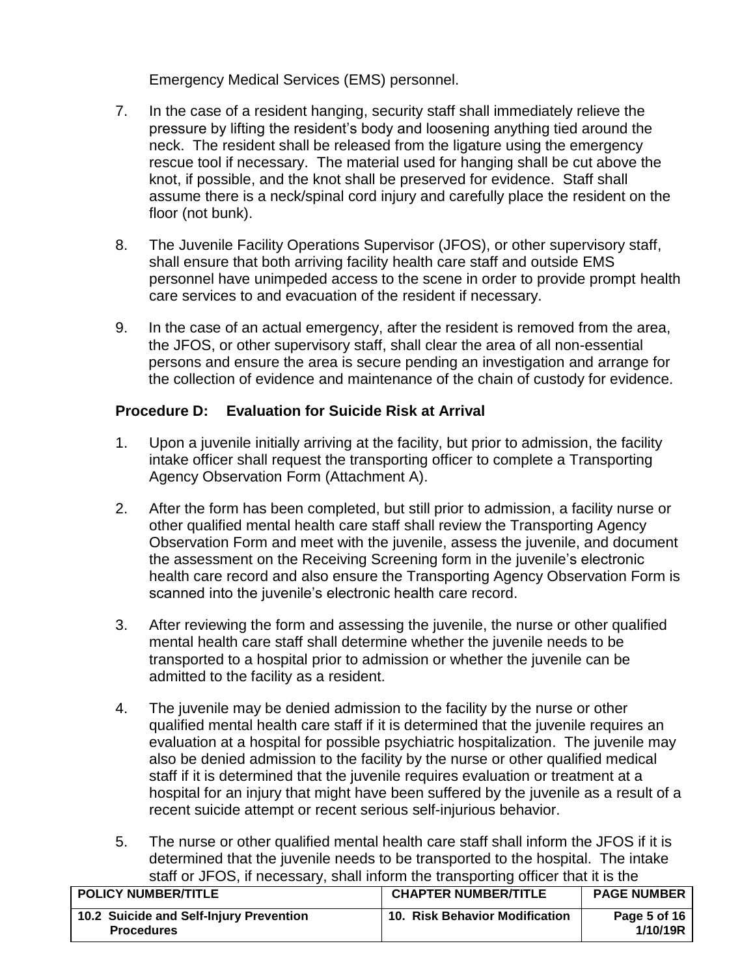Emergency Medical Services (EMS) personnel.

- 7. In the case of a resident hanging, security staff shall immediately relieve the pressure by lifting the resident's body and loosening anything tied around the neck. The resident shall be released from the ligature using the emergency rescue tool if necessary. The material used for hanging shall be cut above the knot, if possible, and the knot shall be preserved for evidence. Staff shall assume there is a neck/spinal cord injury and carefully place the resident on the floor (not bunk).
- 8. The Juvenile Facility Operations Supervisor (JFOS), or other supervisory staff, shall ensure that both arriving facility health care staff and outside EMS personnel have unimpeded access to the scene in order to provide prompt health care services to and evacuation of the resident if necessary.
- 9. In the case of an actual emergency, after the resident is removed from the area, the JFOS, or other supervisory staff, shall clear the area of all non-essential persons and ensure the area is secure pending an investigation and arrange for the collection of evidence and maintenance of the chain of custody for evidence.

## <span id="page-4-0"></span>**Procedure D: Evaluation for Suicide Risk at Arrival**

- 1. Upon a juvenile initially arriving at the facility, but prior to admission, the facility intake officer shall request the transporting officer to complete a Transporting Agency Observation Form (Attachment A).
- 2. After the form has been completed, but still prior to admission, a facility nurse or other qualified mental health care staff shall review the Transporting Agency Observation Form and meet with the juvenile, assess the juvenile, and document the assessment on the Receiving Screening form in the juvenile's electronic health care record and also ensure the Transporting Agency Observation Form is scanned into the juvenile's electronic health care record.
- 3. After reviewing the form and assessing the juvenile, the nurse or other qualified mental health care staff shall determine whether the juvenile needs to be transported to a hospital prior to admission or whether the juvenile can be admitted to the facility as a resident.
- 4. The juvenile may be denied admission to the facility by the nurse or other qualified mental health care staff if it is determined that the juvenile requires an evaluation at a hospital for possible psychiatric hospitalization. The juvenile may also be denied admission to the facility by the nurse or other qualified medical staff if it is determined that the juvenile requires evaluation or treatment at a hospital for an injury that might have been suffered by the juvenile as a result of a recent suicide attempt or recent serious self-injurious behavior.
- 5. The nurse or other qualified mental health care staff shall inform the JFOS if it is determined that the juvenile needs to be transported to the hospital. The intake staff or JFOS, if necessary, shall inform the transporting officer that it is the

| <b>POLICY NUMBER/TITLE</b>                                   | <b>CHAPTER NUMBER/TITLE</b>           | <b>PAGE NUMBER</b>       |
|--------------------------------------------------------------|---------------------------------------|--------------------------|
| 10.2 Suicide and Self-Injury Prevention<br><b>Procedures</b> | <b>10. Risk Behavior Modification</b> | Page 5 of 16<br>1/10/19R |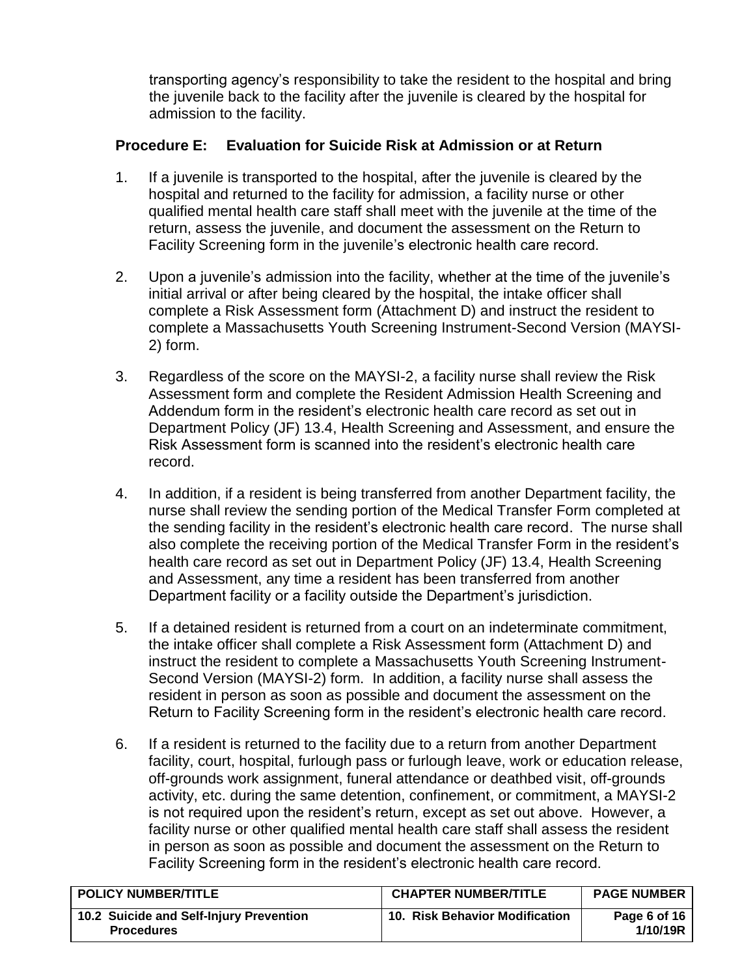transporting agency's responsibility to take the resident to the hospital and bring the juvenile back to the facility after the juvenile is cleared by the hospital for admission to the facility.

# <span id="page-5-0"></span>**Procedure E: Evaluation for Suicide Risk at Admission or at Return**

- 1. If a juvenile is transported to the hospital, after the juvenile is cleared by the hospital and returned to the facility for admission, a facility nurse or other qualified mental health care staff shall meet with the juvenile at the time of the return, assess the juvenile, and document the assessment on the Return to Facility Screening form in the juvenile's electronic health care record.
- 2. Upon a juvenile's admission into the facility, whether at the time of the juvenile's initial arrival or after being cleared by the hospital, the intake officer shall complete a Risk Assessment form (Attachment D) and instruct the resident to complete a Massachusetts Youth Screening Instrument-Second Version (MAYSI-2) form.
- 3. Regardless of the score on the MAYSI-2, a facility nurse shall review the Risk Assessment form and complete the Resident Admission Health Screening and Addendum form in the resident's electronic health care record as set out in Department Policy (JF) 13.4, Health Screening and Assessment, and ensure the Risk Assessment form is scanned into the resident's electronic health care record.
- 4. In addition, if a resident is being transferred from another Department facility, the nurse shall review the sending portion of the Medical Transfer Form completed at the sending facility in the resident's electronic health care record. The nurse shall also complete the receiving portion of the Medical Transfer Form in the resident's health care record as set out in Department Policy (JF) 13.4, Health Screening and Assessment, any time a resident has been transferred from another Department facility or a facility outside the Department's jurisdiction.
- 5. If a detained resident is returned from a court on an indeterminate commitment, the intake officer shall complete a Risk Assessment form (Attachment D) and instruct the resident to complete a Massachusetts Youth Screening Instrument-Second Version (MAYSI-2) form. In addition, a facility nurse shall assess the resident in person as soon as possible and document the assessment on the Return to Facility Screening form in the resident's electronic health care record.
- 6. If a resident is returned to the facility due to a return from another Department facility, court, hospital, furlough pass or furlough leave, work or education release, off-grounds work assignment, funeral attendance or deathbed visit, off-grounds activity, etc. during the same detention, confinement, or commitment, a MAYSI-2 is not required upon the resident's return, except as set out above. However, a facility nurse or other qualified mental health care staff shall assess the resident in person as soon as possible and document the assessment on the Return to Facility Screening form in the resident's electronic health care record.

| <b>POLICY NUMBER/TITLE</b>                                   | <b>CHAPTER NUMBER/TITLE</b>    | <b>PAGE NUMBER</b>       |
|--------------------------------------------------------------|--------------------------------|--------------------------|
| 10.2 Suicide and Self-Injury Prevention<br><b>Procedures</b> | 10. Risk Behavior Modification | Page 6 of 16<br>1/10/19R |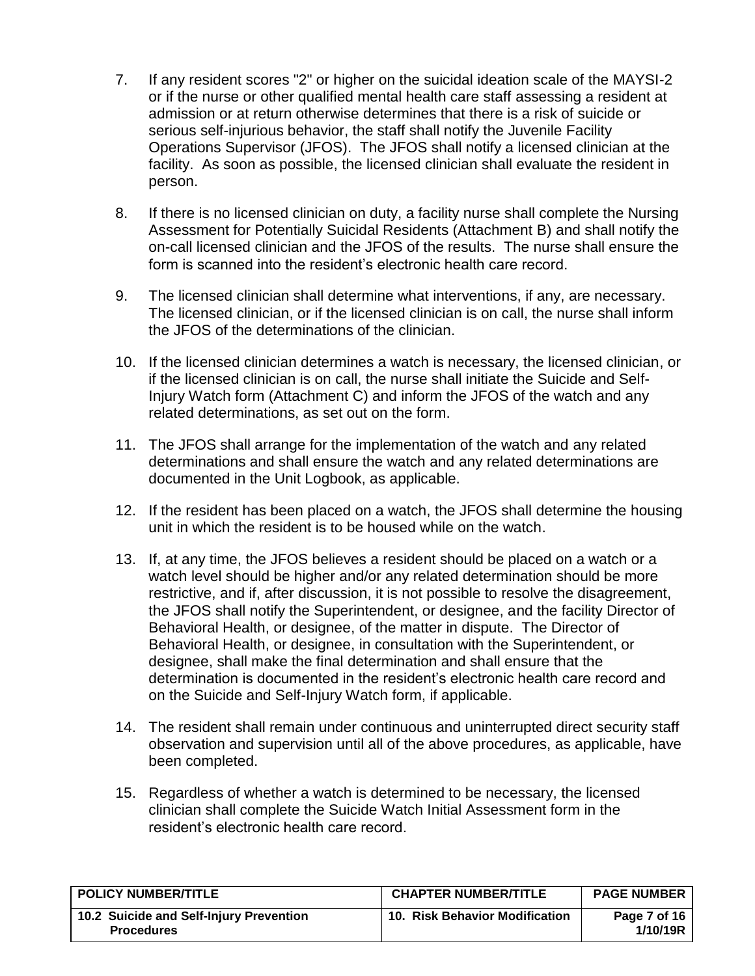- 7. If any resident scores "2" or higher on the suicidal ideation scale of the MAYSI-2 or if the nurse or other qualified mental health care staff assessing a resident at admission or at return otherwise determines that there is a risk of suicide or serious self-injurious behavior, the staff shall notify the Juvenile Facility Operations Supervisor (JFOS). The JFOS shall notify a licensed clinician at the facility. As soon as possible, the licensed clinician shall evaluate the resident in person.
- 8. If there is no licensed clinician on duty, a facility nurse shall complete the Nursing Assessment for Potentially Suicidal Residents (Attachment B) and shall notify the on-call licensed clinician and the JFOS of the results. The nurse shall ensure the form is scanned into the resident's electronic health care record.
- 9. The licensed clinician shall determine what interventions, if any, are necessary. The licensed clinician, or if the licensed clinician is on call, the nurse shall inform the JFOS of the determinations of the clinician.
- 10. If the licensed clinician determines a watch is necessary, the licensed clinician, or if the licensed clinician is on call, the nurse shall initiate the Suicide and Self-Injury Watch form (Attachment C) and inform the JFOS of the watch and any related determinations, as set out on the form.
- 11. The JFOS shall arrange for the implementation of the watch and any related determinations and shall ensure the watch and any related determinations are documented in the Unit Logbook, as applicable.
- 12. If the resident has been placed on a watch, the JFOS shall determine the housing unit in which the resident is to be housed while on the watch.
- 13. If, at any time, the JFOS believes a resident should be placed on a watch or a watch level should be higher and/or any related determination should be more restrictive, and if, after discussion, it is not possible to resolve the disagreement, the JFOS shall notify the Superintendent, or designee, and the facility Director of Behavioral Health, or designee, of the matter in dispute. The Director of Behavioral Health, or designee, in consultation with the Superintendent, or designee, shall make the final determination and shall ensure that the determination is documented in the resident's electronic health care record and on the Suicide and Self-Injury Watch form, if applicable.
- 14. The resident shall remain under continuous and uninterrupted direct security staff observation and supervision until all of the above procedures, as applicable, have been completed.
- 15. Regardless of whether a watch is determined to be necessary, the licensed clinician shall complete the Suicide Watch Initial Assessment form in the resident's electronic health care record.

<span id="page-6-0"></span>

| <b>POLICY NUMBER/TITLE</b>                                   | <b>CHAPTER NUMBER/TITLE</b>    | <b>PAGE NUMBER</b>       |
|--------------------------------------------------------------|--------------------------------|--------------------------|
| 10.2 Suicide and Self-Injury Prevention<br><b>Procedures</b> | 10. Risk Behavior Modification | Page 7 of 16<br>1/10/19R |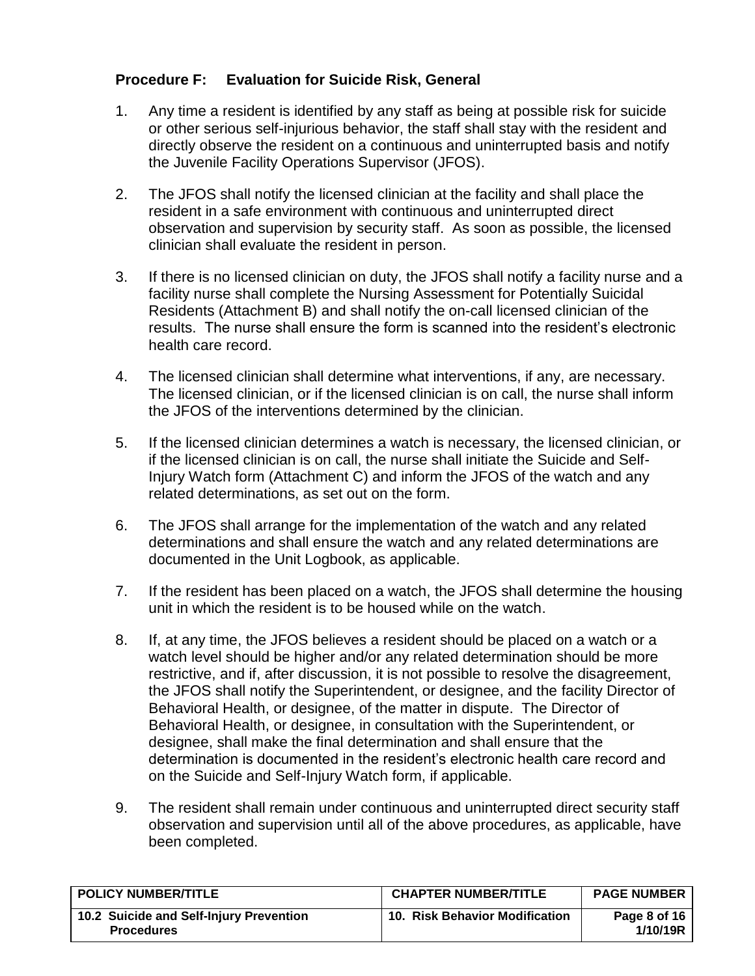# **Procedure F: Evaluation for Suicide Risk, General**

- 1. Any time a resident is identified by any staff as being at possible risk for suicide or other serious self-injurious behavior, the staff shall stay with the resident and directly observe the resident on a continuous and uninterrupted basis and notify the Juvenile Facility Operations Supervisor (JFOS).
- 2. The JFOS shall notify the licensed clinician at the facility and shall place the resident in a safe environment with continuous and uninterrupted direct observation and supervision by security staff. As soon as possible, the licensed clinician shall evaluate the resident in person.
- 3. If there is no licensed clinician on duty, the JFOS shall notify a facility nurse and a facility nurse shall complete the Nursing Assessment for Potentially Suicidal Residents (Attachment B) and shall notify the on-call licensed clinician of the results. The nurse shall ensure the form is scanned into the resident's electronic health care record.
- 4. The licensed clinician shall determine what interventions, if any, are necessary. The licensed clinician, or if the licensed clinician is on call, the nurse shall inform the JFOS of the interventions determined by the clinician.
- 5. If the licensed clinician determines a watch is necessary, the licensed clinician, or if the licensed clinician is on call, the nurse shall initiate the Suicide and Self-Injury Watch form (Attachment C) and inform the JFOS of the watch and any related determinations, as set out on the form.
- 6. The JFOS shall arrange for the implementation of the watch and any related determinations and shall ensure the watch and any related determinations are documented in the Unit Logbook, as applicable.
- 7. If the resident has been placed on a watch, the JFOS shall determine the housing unit in which the resident is to be housed while on the watch.
- 8. If, at any time, the JFOS believes a resident should be placed on a watch or a watch level should be higher and/or any related determination should be more restrictive, and if, after discussion, it is not possible to resolve the disagreement, the JFOS shall notify the Superintendent, or designee, and the facility Director of Behavioral Health, or designee, of the matter in dispute. The Director of Behavioral Health, or designee, in consultation with the Superintendent, or designee, shall make the final determination and shall ensure that the determination is documented in the resident's electronic health care record and on the Suicide and Self-Injury Watch form, if applicable.
- 9. The resident shall remain under continuous and uninterrupted direct security staff observation and supervision until all of the above procedures, as applicable, have been completed.

| <b>POLICY NUMBER/TITLE</b>                                   | <b>CHAPTER NUMBER/TITLE</b>           | <b>PAGE NUMBER</b>       |
|--------------------------------------------------------------|---------------------------------------|--------------------------|
| 10.2 Suicide and Self-Injury Prevention<br><b>Procedures</b> | <b>10. Risk Behavior Modification</b> | Page 8 of 16<br>1/10/19R |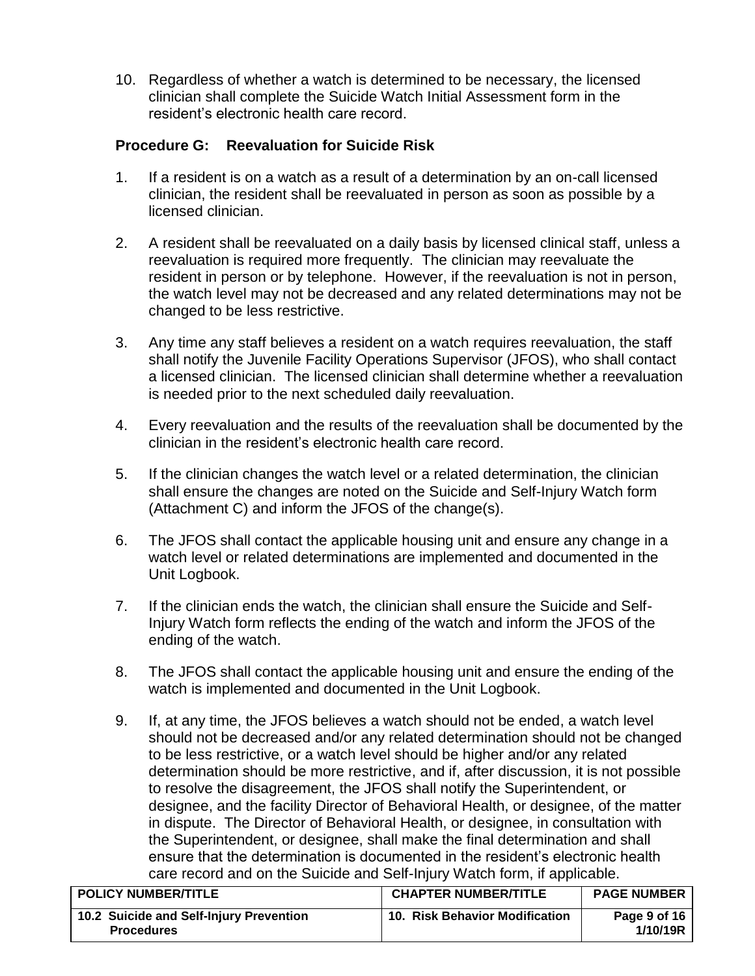10. Regardless of whether a watch is determined to be necessary, the licensed clinician shall complete the Suicide Watch Initial Assessment form in the resident's electronic health care record.

## <span id="page-8-0"></span>**Procedure G: Reevaluation for Suicide Risk**

- 1. If a resident is on a watch as a result of a determination by an on-call licensed clinician, the resident shall be reevaluated in person as soon as possible by a licensed clinician.
- 2. A resident shall be reevaluated on a daily basis by licensed clinical staff, unless a reevaluation is required more frequently. The clinician may reevaluate the resident in person or by telephone. However, if the reevaluation is not in person, the watch level may not be decreased and any related determinations may not be changed to be less restrictive.
- 3. Any time any staff believes a resident on a watch requires reevaluation, the staff shall notify the Juvenile Facility Operations Supervisor (JFOS), who shall contact a licensed clinician. The licensed clinician shall determine whether a reevaluation is needed prior to the next scheduled daily reevaluation.
- 4. Every reevaluation and the results of the reevaluation shall be documented by the clinician in the resident's electronic health care record.
- 5. If the clinician changes the watch level or a related determination, the clinician shall ensure the changes are noted on the Suicide and Self-Injury Watch form (Attachment C) and inform the JFOS of the change(s).
- 6. The JFOS shall contact the applicable housing unit and ensure any change in a watch level or related determinations are implemented and documented in the Unit Logbook.
- 7. If the clinician ends the watch, the clinician shall ensure the Suicide and Self-Injury Watch form reflects the ending of the watch and inform the JFOS of the ending of the watch.
- 8. The JFOS shall contact the applicable housing unit and ensure the ending of the watch is implemented and documented in the Unit Logbook.
- 9. If, at any time, the JFOS believes a watch should not be ended, a watch level should not be decreased and/or any related determination should not be changed to be less restrictive, or a watch level should be higher and/or any related determination should be more restrictive, and if, after discussion, it is not possible to resolve the disagreement, the JFOS shall notify the Superintendent, or designee, and the facility Director of Behavioral Health, or designee, of the matter in dispute. The Director of Behavioral Health, or designee, in consultation with the Superintendent, or designee, shall make the final determination and shall ensure that the determination is documented in the resident's electronic health care record and on the Suicide and Self-Injury Watch form, if applicable.

| <b>POLICY NUMBER/TITLE</b>                                   | <b>CHAPTER NUMBER/TITLE</b>           | <b>PAGE NUMBER</b>       |
|--------------------------------------------------------------|---------------------------------------|--------------------------|
| 10.2 Suicide and Self-Injury Prevention<br><b>Procedures</b> | <b>10. Risk Behavior Modification</b> | Page 9 of 16<br>1/10/19R |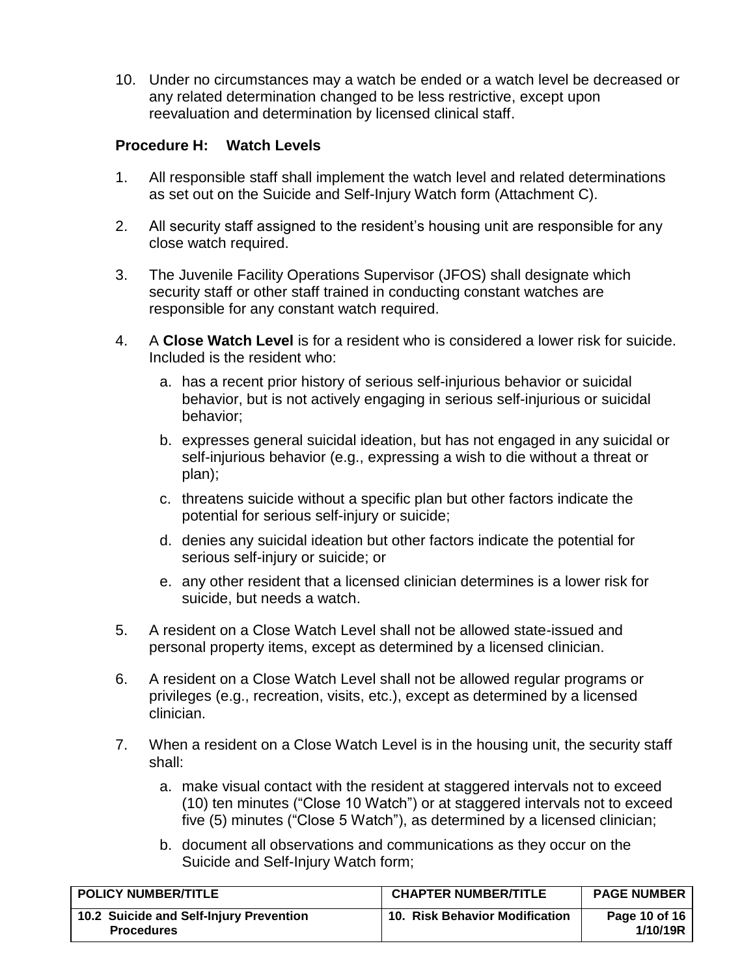10. Under no circumstances may a watch be ended or a watch level be decreased or any related determination changed to be less restrictive, except upon reevaluation and determination by licensed clinical staff.

### <span id="page-9-1"></span><span id="page-9-0"></span>**Procedure H: Watch Levels**

- 1. All responsible staff shall implement the watch level and related determinations as set out on the Suicide and Self-Injury Watch form (Attachment C).
- 2. All security staff assigned to the resident's housing unit are responsible for any close watch required.
- 3. The Juvenile Facility Operations Supervisor (JFOS) shall designate which security staff or other staff trained in conducting constant watches are responsible for any constant watch required.
- 4. A **Close Watch Level** is for a resident who is considered a lower risk for suicide. Included is the resident who:
	- a. has a recent prior history of serious self-injurious behavior or suicidal behavior, but is not actively engaging in serious self-injurious or suicidal behavior;
	- b. expresses general suicidal ideation, but has not engaged in any suicidal or self-injurious behavior (e.g., expressing a wish to die without a threat or plan);
	- c. threatens suicide without a specific plan but other factors indicate the potential for serious self-injury or suicide;
	- d. denies any suicidal ideation but other factors indicate the potential for serious self-injury or suicide; or
	- e. any other resident that a licensed clinician determines is a lower risk for suicide, but needs a watch.
- 5. A resident on a Close Watch Level shall not be allowed state-issued and personal property items, except as determined by a licensed clinician.
- 6. A resident on a Close Watch Level shall not be allowed regular programs or privileges (e.g., recreation, visits, etc.), except as determined by a licensed clinician.
- 7. When a resident on a Close Watch Level is in the housing unit, the security staff shall:
	- a. make visual contact with the resident at staggered intervals not to exceed (10) ten minutes ("Close 10 Watch") or at staggered intervals not to exceed five (5) minutes ("Close 5 Watch"), as determined by a licensed clinician;
	- b. document all observations and communications as they occur on the Suicide and Self-Injury Watch form;

| <b>POLICY NUMBER/TITLE</b>                                   | <b>CHAPTER NUMBER/TITLE</b>    | <b>PAGE NUMBER</b>        |
|--------------------------------------------------------------|--------------------------------|---------------------------|
| 10.2 Suicide and Self-Injury Prevention<br><b>Procedures</b> | 10. Risk Behavior Modification | Page 10 of 16<br>1/10/19R |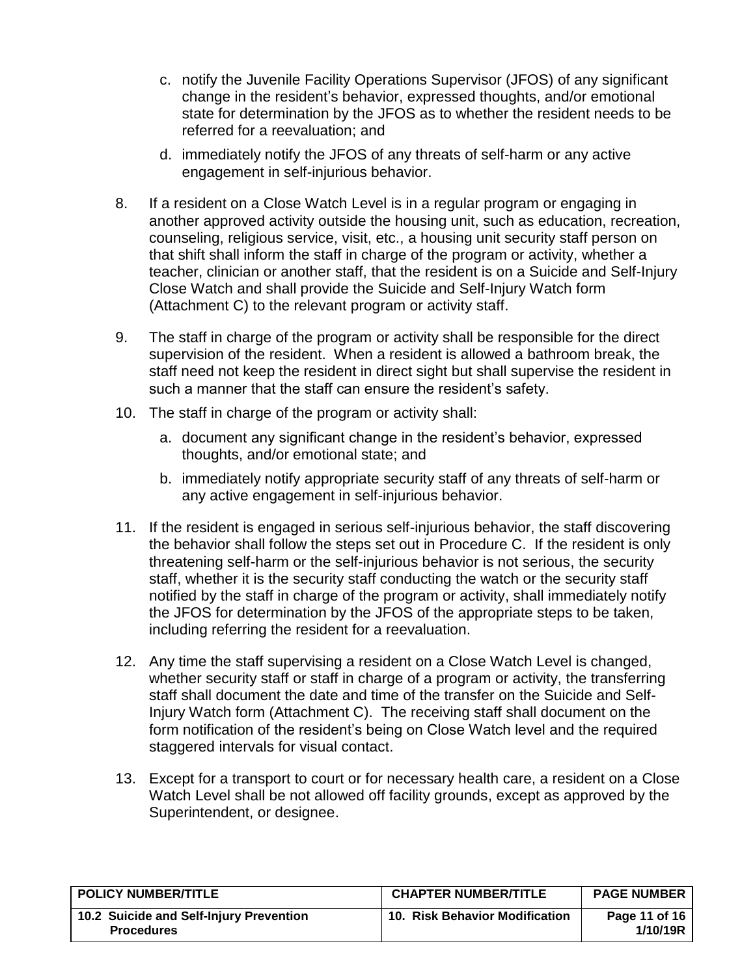- c. notify the Juvenile Facility Operations Supervisor (JFOS) of any significant change in the resident's behavior, expressed thoughts, and/or emotional state for determination by the JFOS as to whether the resident needs to be referred for a reevaluation; and
- d. immediately notify the JFOS of any threats of self-harm or any active engagement in self-injurious behavior.
- 8. If a resident on a Close Watch Level is in a regular program or engaging in another approved activity outside the housing unit, such as education, recreation, counseling, religious service, visit, etc., a housing unit security staff person on that shift shall inform the staff in charge of the program or activity, whether a teacher, clinician or another staff, that the resident is on a Suicide and Self-Injury Close Watch and shall provide the Suicide and Self-Injury Watch form (Attachment C) to the relevant program or activity staff.
- 9. The staff in charge of the program or activity shall be responsible for the direct supervision of the resident. When a resident is allowed a bathroom break, the staff need not keep the resident in direct sight but shall supervise the resident in such a manner that the staff can ensure the resident's safety.
- 10. The staff in charge of the program or activity shall:
	- a. document any significant change in the resident's behavior, expressed thoughts, and/or emotional state; and
	- b. immediately notify appropriate security staff of any threats of self-harm or any active engagement in self-injurious behavior.
- 11. If the resident is engaged in serious self-injurious behavior, the staff discovering the behavior shall follow the steps set out in Procedure C. If the resident is only threatening self-harm or the self-injurious behavior is not serious, the security staff, whether it is the security staff conducting the watch or the security staff notified by the staff in charge of the program or activity, shall immediately notify the JFOS for determination by the JFOS of the appropriate steps to be taken, including referring the resident for a reevaluation.
- 12. Any time the staff supervising a resident on a Close Watch Level is changed, whether security staff or staff in charge of a program or activity, the transferring staff shall document the date and time of the transfer on the Suicide and Self-Injury Watch form (Attachment C). The receiving staff shall document on the form notification of the resident's being on Close Watch level and the required staggered intervals for visual contact.
- 13. Except for a transport to court or for necessary health care, a resident on a Close Watch Level shall be not allowed off facility grounds, except as approved by the Superintendent, or designee.

| <b>POLICY NUMBER/TITLE</b>                                   | <b>CHAPTER NUMBER/TITLE</b>    | <b>PAGE NUMBER</b>        |
|--------------------------------------------------------------|--------------------------------|---------------------------|
| 10.2 Suicide and Self-Injury Prevention<br><b>Procedures</b> | 10. Risk Behavior Modification | Page 11 of 16<br>1/10/19R |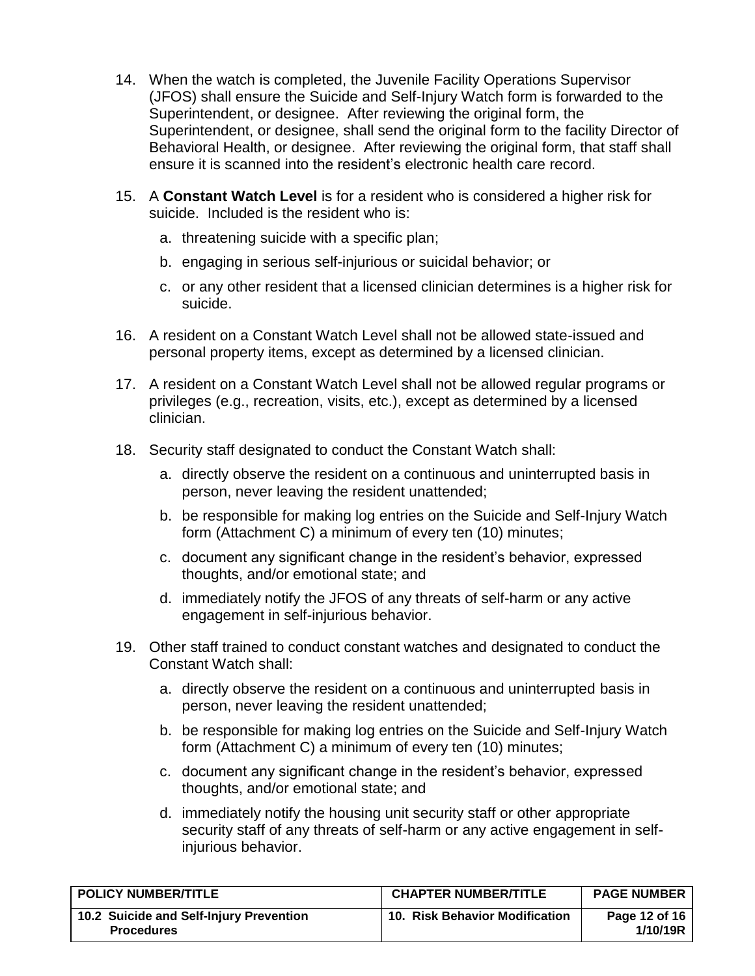- 14. When the watch is completed, the Juvenile Facility Operations Supervisor (JFOS) shall ensure the Suicide and Self-Injury Watch form is forwarded to the Superintendent, or designee. After reviewing the original form, the Superintendent, or designee, shall send the original form to the facility Director of Behavioral Health, or designee. After reviewing the original form, that staff shall ensure it is scanned into the resident's electronic health care record.
- 15. A **Constant Watch Level** is for a resident who is considered a higher risk for suicide. Included is the resident who is:
	- a. threatening suicide with a specific plan;
	- b. engaging in serious self-injurious or suicidal behavior; or
	- c. or any other resident that a licensed clinician determines is a higher risk for suicide.
- 16. A resident on a Constant Watch Level shall not be allowed state-issued and personal property items, except as determined by a licensed clinician.
- 17. A resident on a Constant Watch Level shall not be allowed regular programs or privileges (e.g., recreation, visits, etc.), except as determined by a licensed clinician.
- 18. Security staff designated to conduct the Constant Watch shall:
	- a. directly observe the resident on a continuous and uninterrupted basis in person, never leaving the resident unattended;
	- b. be responsible for making log entries on the Suicide and Self-Injury Watch form (Attachment C) a minimum of every ten (10) minutes;
	- c. document any significant change in the resident's behavior, expressed thoughts, and/or emotional state; and
	- d. immediately notify the JFOS of any threats of self-harm or any active engagement in self-injurious behavior.
- 19. Other staff trained to conduct constant watches and designated to conduct the Constant Watch shall:
	- a. directly observe the resident on a continuous and uninterrupted basis in person, never leaving the resident unattended;
	- b. be responsible for making log entries on the Suicide and Self-Injury Watch form (Attachment C) a minimum of every ten (10) minutes;
	- c. document any significant change in the resident's behavior, expressed thoughts, and/or emotional state; and
	- d. immediately notify the housing unit security staff or other appropriate security staff of any threats of self-harm or any active engagement in selfinjurious behavior.

| <b>POLICY NUMBER/TITLE</b>                                   | <b>CHAPTER NUMBER/TITLE</b>    | <b>PAGE NUMBER</b>        |
|--------------------------------------------------------------|--------------------------------|---------------------------|
| 10.2 Suicide and Self-Injury Prevention<br><b>Procedures</b> | 10. Risk Behavior Modification | Page 12 of 16<br>1/10/19R |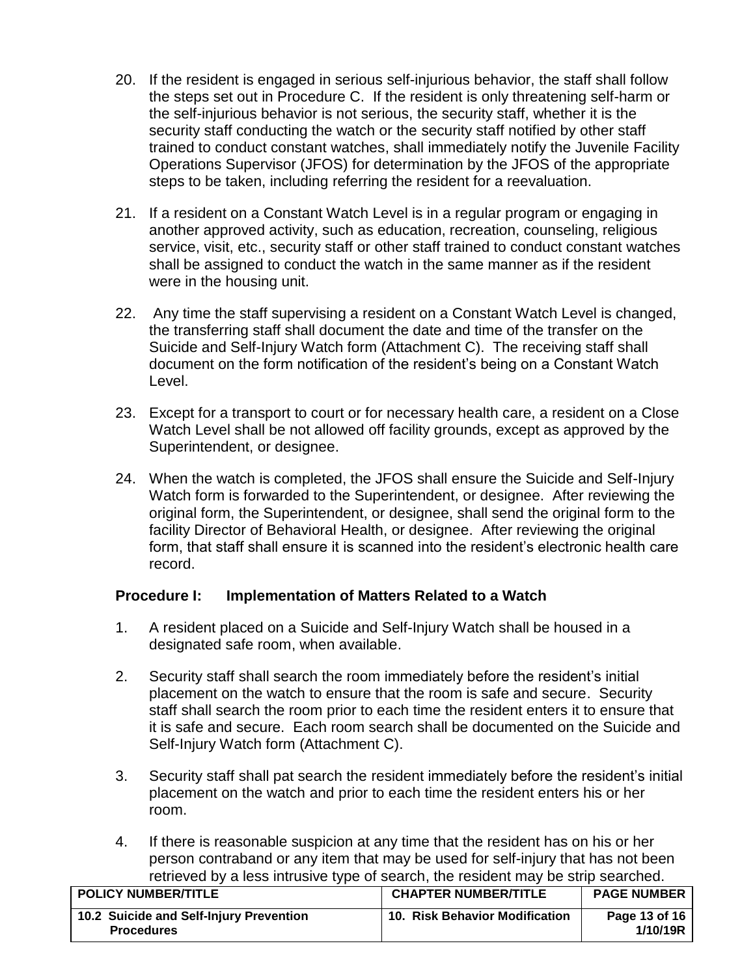- 20. If the resident is engaged in serious self-injurious behavior, the staff shall follow the steps set out in Procedure C. If the resident is only threatening self-harm or the self-injurious behavior is not serious, the security staff, whether it is the security staff conducting the watch or the security staff notified by other staff trained to conduct constant watches, shall immediately notify the Juvenile Facility Operations Supervisor (JFOS) for determination by the JFOS of the appropriate steps to be taken, including referring the resident for a reevaluation.
- 21. If a resident on a Constant Watch Level is in a regular program or engaging in another approved activity, such as education, recreation, counseling, religious service, visit, etc., security staff or other staff trained to conduct constant watches shall be assigned to conduct the watch in the same manner as if the resident were in the housing unit.
- 22. Any time the staff supervising a resident on a Constant Watch Level is changed, the transferring staff shall document the date and time of the transfer on the Suicide and Self-Injury Watch form (Attachment C). The receiving staff shall document on the form notification of the resident's being on a Constant Watch Level.
- 23. Except for a transport to court or for necessary health care, a resident on a Close Watch Level shall be not allowed off facility grounds, except as approved by the Superintendent, or designee.
- 24. When the watch is completed, the JFOS shall ensure the Suicide and Self-Injury Watch form is forwarded to the Superintendent, or designee. After reviewing the original form, the Superintendent, or designee, shall send the original form to the facility Director of Behavioral Health, or designee. After reviewing the original form, that staff shall ensure it is scanned into the resident's electronic health care record.

# <span id="page-12-0"></span>**Procedure I: Implementation of Matters Related to a Watch**

- 1. A resident placed on a Suicide and Self-Injury Watch shall be housed in a designated safe room, when available.
- 2. Security staff shall search the room immediately before the resident's initial placement on the watch to ensure that the room is safe and secure. Security staff shall search the room prior to each time the resident enters it to ensure that it is safe and secure. Each room search shall be documented on the Suicide and Self-Injury Watch form (Attachment C).
- 3. Security staff shall pat search the resident immediately before the resident's initial placement on the watch and prior to each time the resident enters his or her room.
- 4. If there is reasonable suspicion at any time that the resident has on his or her person contraband or any item that may be used for self-injury that has not been retrieved by a less intrusive type of search, the resident may be strip searched.

| <b>POLICY NUMBER/TITLE</b>                                   | <b>CHAPTER NUMBER/TITLE</b>    | <b>PAGE NUMBER</b>        |
|--------------------------------------------------------------|--------------------------------|---------------------------|
| 10.2 Suicide and Self-Injury Prevention<br><b>Procedures</b> | 10. Risk Behavior Modification | Page 13 of 16<br>1/10/19R |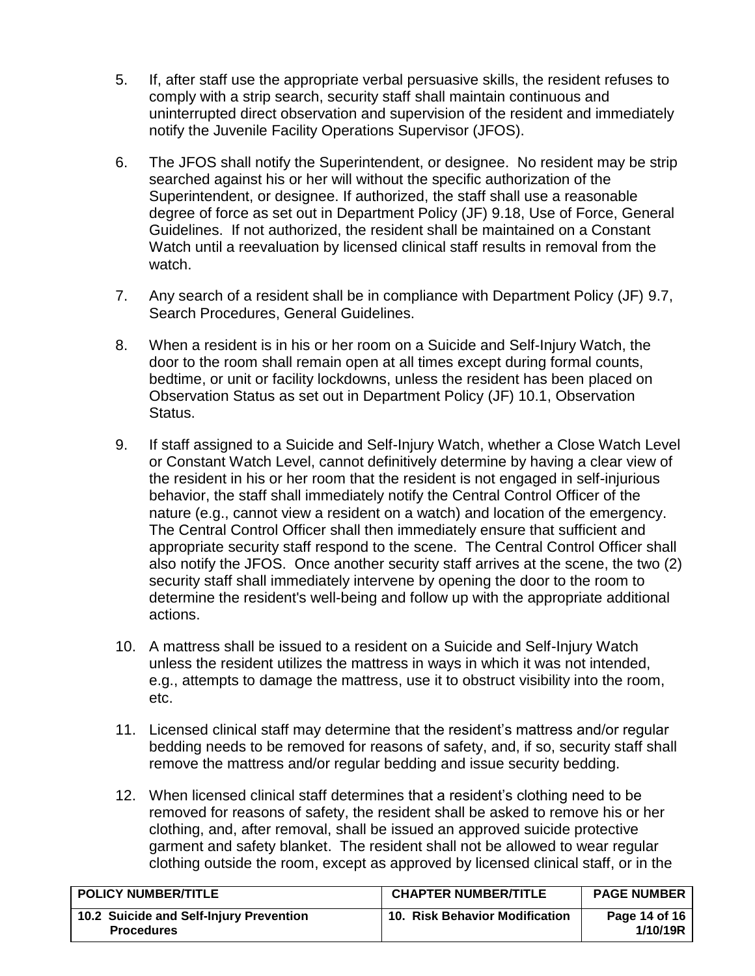- 5. If, after staff use the appropriate verbal persuasive skills, the resident refuses to comply with a strip search, security staff shall maintain continuous and uninterrupted direct observation and supervision of the resident and immediately notify the Juvenile Facility Operations Supervisor (JFOS).
- 6. The JFOS shall notify the Superintendent, or designee. No resident may be strip searched against his or her will without the specific authorization of the Superintendent, or designee. If authorized, the staff shall use a reasonable degree of force as set out in Department Policy (JF) 9.18, Use of Force, General Guidelines. If not authorized, the resident shall be maintained on a Constant Watch until a reevaluation by licensed clinical staff results in removal from the watch.
- 7. Any search of a resident shall be in compliance with Department Policy (JF) 9.7, Search Procedures, General Guidelines.
- 8. When a resident is in his or her room on a Suicide and Self-Injury Watch, the door to the room shall remain open at all times except during formal counts, bedtime, or unit or facility lockdowns, unless the resident has been placed on Observation Status as set out in Department Policy (JF) 10.1, Observation Status.
- 9. If staff assigned to a Suicide and Self-Injury Watch, whether a Close Watch Level or Constant Watch Level, cannot definitively determine by having a clear view of the resident in his or her room that the resident is not engaged in self-injurious behavior, the staff shall immediately notify the Central Control Officer of the nature (e.g., cannot view a resident on a watch) and location of the emergency. The Central Control Officer shall then immediately ensure that sufficient and appropriate security staff respond to the scene. The Central Control Officer shall also notify the JFOS. Once another security staff arrives at the scene, the two (2) security staff shall immediately intervene by opening the door to the room to determine the resident's well-being and follow up with the appropriate additional actions.
- 10. A mattress shall be issued to a resident on a Suicide and Self-Injury Watch unless the resident utilizes the mattress in ways in which it was not intended, e.g., attempts to damage the mattress, use it to obstruct visibility into the room, etc.
- 11. Licensed clinical staff may determine that the resident's mattress and/or regular bedding needs to be removed for reasons of safety, and, if so, security staff shall remove the mattress and/or regular bedding and issue security bedding.
- <span id="page-13-0"></span>12. When licensed clinical staff determines that a resident's clothing need to be removed for reasons of safety, the resident shall be asked to remove his or her clothing, and, after removal, shall be issued an approved suicide protective garment and safety blanket. The resident shall not be allowed to wear regular clothing outside the room, except as approved by licensed clinical staff, or in the

| <b>POLICY NUMBER/TITLE</b>                                   | <b>CHAPTER NUMBER/TITLE</b>    | <b>PAGE NUMBER</b>        |
|--------------------------------------------------------------|--------------------------------|---------------------------|
| 10.2 Suicide and Self-Injury Prevention<br><b>Procedures</b> | 10. Risk Behavior Modification | Page 14 of 16<br>1/10/19R |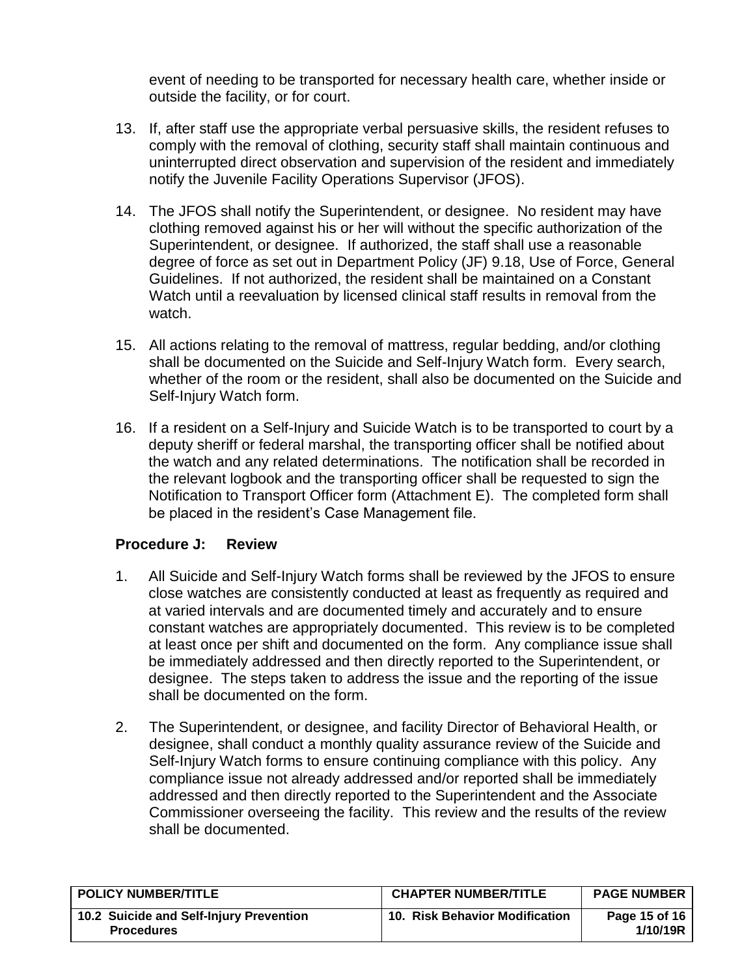event of needing to be transported for necessary health care, whether inside or outside the facility, or for court.

- 13. If, after staff use the appropriate verbal persuasive skills, the resident refuses to comply with the removal of clothing, security staff shall maintain continuous and uninterrupted direct observation and supervision of the resident and immediately notify the Juvenile Facility Operations Supervisor (JFOS).
- 14. The JFOS shall notify the Superintendent, or designee. No resident may have clothing removed against his or her will without the specific authorization of the Superintendent, or designee. If authorized, the staff shall use a reasonable degree of force as set out in Department Policy (JF) 9.18, Use of Force, General Guidelines. If not authorized, the resident shall be maintained on a Constant Watch until a reevaluation by licensed clinical staff results in removal from the watch.
- 15. All actions relating to the removal of mattress, regular bedding, and/or clothing shall be documented on the Suicide and Self-Injury Watch form. Every search, whether of the room or the resident, shall also be documented on the Suicide and Self-Injury Watch form.
- 16. If a resident on a Self-Injury and Suicide Watch is to be transported to court by a deputy sheriff or federal marshal, the transporting officer shall be notified about the watch and any related determinations. The notification shall be recorded in the relevant logbook and the transporting officer shall be requested to sign the Notification to Transport Officer form (Attachment E). The completed form shall be placed in the resident's Case Management file.

### <span id="page-14-0"></span>**Procedure J: Review**

- 1. All Suicide and Self-Injury Watch forms shall be reviewed by the JFOS to ensure close watches are consistently conducted at least as frequently as required and at varied intervals and are documented timely and accurately and to ensure constant watches are appropriately documented. This review is to be completed at least once per shift and documented on the form. Any compliance issue shall be immediately addressed and then directly reported to the Superintendent, or designee. The steps taken to address the issue and the reporting of the issue shall be documented on the form.
- <span id="page-14-1"></span>2. The Superintendent, or designee, and facility Director of Behavioral Health, or designee, shall conduct a monthly quality assurance review of the Suicide and Self-Injury Watch forms to ensure continuing compliance with this policy. Any compliance issue not already addressed and/or reported shall be immediately addressed and then directly reported to the Superintendent and the Associate Commissioner overseeing the facility. This review and the results of the review shall be documented.

| <b>POLICY NUMBER/TITLE</b>                                   | <b>CHAPTER NUMBER/TITLE</b>    | <b>PAGE NUMBER</b>        |
|--------------------------------------------------------------|--------------------------------|---------------------------|
| 10.2 Suicide and Self-Injury Prevention<br><b>Procedures</b> | 10. Risk Behavior Modification | Page 15 of 16<br>1/10/19R |